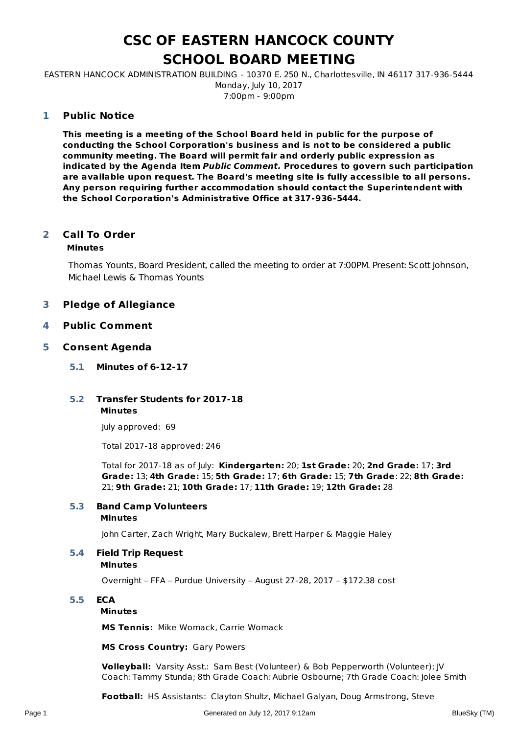# **CSC OF EASTERN HANCOCK COUNTY SCHOOL BOARD MEETING**

EASTERN HANCOCK ADMINISTRATION BUILDING - 10370 E. 250 N., Charlottesville, IN 46117 317-936-5444 Monday, July 10, 2017 7:00pm - 9:00pm

### **Public Notice 1**

**This meeting is a meeting of the School Board held in public for the purpose of conducting the School Corporation's business and is not to be considered a public community meeting. The Board will permit fair and orderly public expression as indicated by the Agenda Item Public Comment. Procedures to govern such participation are available upon request. The Board's meeting site is fully accessible to all persons. Any person requiring further accommodation should contact the Superintendent with the School Corporation's Administrative Office at 317-936-5444.**

### **Call To Order 2**

### **Minutes**

Thomas Younts, Board President, called the meeting to order at 7:00PM. Present: Scott Johnson, Michael Lewis & Thomas Younts

### **3 Pledge of Allegiance**

### **4 Public Comment**

### **5 Consent Agenda**

- **5.1 Minutes of 6-12-17**
- **Minutes 5.2 Transfer Students for 2017-18**

July approved: 69

Total 2017-18 approved: 246

Total for 2017-18 as of July: **Kindergarten:** 20; **1st Grade:** 20; **2nd Grade:** 17; **3rd Grade:** 13; **4th Grade:** 15; **5th Grade:** 17; **6th Grade:** 15; **7th Grade**: 22; **8th Grade:** 21; **9th Grade:** 21; **10th Grade:** 17; **11th Grade:** 19; **12th Grade:** 28

# **5.3 Band Camp Volunteers**

### **Minutes**

John Carter, Zach Wright, Mary Buckalew, Brett Harper & Maggie Haley

### **5.4 Field Trip Request**

### **Minutes**

Overnight – FFA – Purdue University – August 27-28, 2017 – \$172.38 cost

### **5.5 ECA**

### **Minutes**

**MS Tennis:** Mike Womack, Carrie Womack

### **MS Cross Country:** Gary Powers

**Volleyball:** Varsity Asst.: Sam Best (Volunteer) & Bob Pepperworth (Volunteer); JV Coach: Tammy Stunda; 8th Grade Coach: Aubrie Osbourne; 7th Grade Coach: Jolee Smith

**Football:** HS Assistants: Clayton Shultz, Michael Galyan, Doug Armstrong, Steve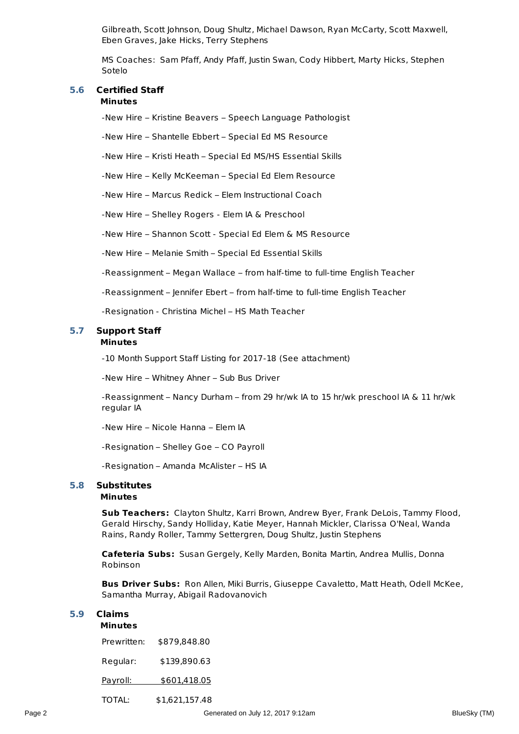Gilbreath, Scott Johnson, Doug Shultz, Michael Dawson, Ryan McCarty, Scott Maxwell, Eben Graves, Jake Hicks, Terry Stephens

MS Coaches: Sam Pfaff, Andy Pfaff, Justin Swan, Cody Hibbert, Marty Hicks, Stephen Sotelo

# **5.6 Certified Staff**

### **Minutes**

-New Hire – Kristine Beavers – Speech Language Pathologist

-New Hire – Shantelle Ebbert – Special Ed MS Resource

-New Hire – Kristi Heath – Special Ed MS/HS Essential Skills

-New Hire – Kelly McKeeman – Special Ed Elem Resource

-New Hire – Marcus Redick – Elem Instructional Coach

-New Hire – Shelley Rogers - Elem IA & Preschool

-New Hire – Shannon Scott - Special Ed Elem & MS Resource

-New Hire – Melanie Smith – Special Ed Essential Skills

-Reassignment – Megan Wallace – from half-time to full-time English Teacher

-Reassignment – Jennifer Ebert – from half-time to full-time English Teacher

-Resignation - Christina Michel – HS Math Teacher

### **Minutes 5.7 Support Staff**

-10 Month Support Staff Listing for 2017-18 (See attachment)

-New Hire – Whitney Ahner – Sub Bus Driver

-Reassignment – Nancy Durham – from 29 hr/wk IA to 15 hr/wk preschool IA & 11 hr/wk regular IA

-New Hire – Nicole Hanna – Elem IA

-Resignation – Shelley Goe – CO Payroll

-Resignation – Amanda McAlister – HS IA

## **5.8 Substitutes**

### **Minutes**

**Sub Teachers:** Clayton Shultz, Karri Brown, Andrew Byer, Frank DeLois, Tammy Flood, Gerald Hirschy, Sandy Holliday, Katie Meyer, Hannah Mickler, Clarissa O'Neal, Wanda Rains, Randy Roller, Tammy Settergren, Doug Shultz, Justin Stephens

**Cafeteria Subs:** Susan Gergely, Kelly Marden, Bonita Martin, Andrea Mullis, Donna Robinson

**Bus Driver Subs:** Ron Allen, Miki Burris, Giuseppe Cavaletto, Matt Heath, Odell McKee, Samantha Murray, Abigail Radovanovich

### **5.9 Claims**

# **Minutes** Prewritten: \$879,848.80 Regular: \$139,890.63 Payroll: \$601,418.05 TOTAL: \$1,621,157.48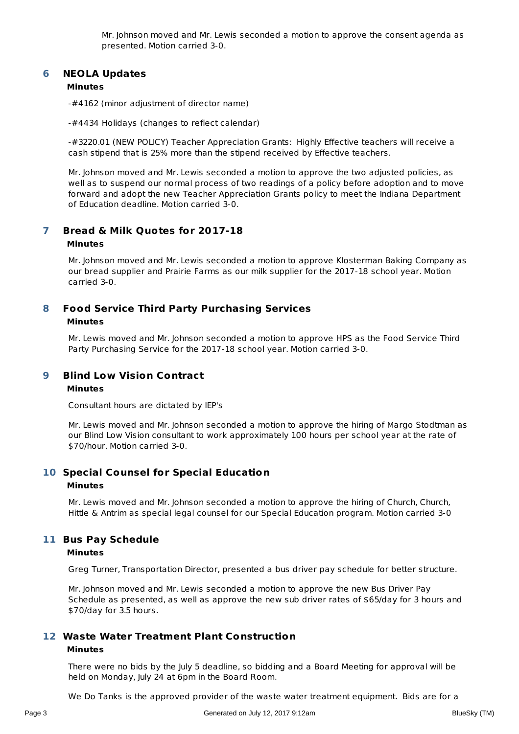Mr. Johnson moved and Mr. Lewis seconded a motion to approve the consent agenda as presented. Motion carried 3-0.

### **NEOLA Updates 6**

### **Minutes**

-#4162 (minor adjustment of director name)

-#4434 Holidays (changes to reflect calendar)

-#3220.01 (NEW POLICY) Teacher Appreciation Grants: Highly Effective teachers will receive a cash stipend that is 25% more than the stipend received by Effective teachers.

Mr. Johnson moved and Mr. Lewis seconded a motion to approve the two adjusted policies, as well as to suspend our normal process of two readings of a policy before adoption and to move forward and adopt the new Teacher Appreciation Grants policy to meet the Indiana Department of Education deadline. Motion carried 3-0.

### **Bread & Milk Quotes for 2017-18 7**

### **Minutes**

Mr. Johnson moved and Mr. Lewis seconded a motion to approve Klosterman Baking Company as our bread supplier and Prairie Farms as our milk supplier for the 2017-18 school year. Motion carried 3-0.

### **Food Service Third Party Purchasing Services Minutes 8**

Mr. Lewis moved and Mr. Johnson seconded a motion to approve HPS as the Food Service Third Party Purchasing Service for the 2017-18 school year. Motion carried 3-0.

### **Blind Low Vision Contract 9**

### **Minutes**

Consultant hours are dictated by IEP's

Mr. Lewis moved and Mr. Johnson seconded a motion to approve the hiring of Margo Stodtman as our Blind Low Vision consultant to work approximately 100 hours per school year at the rate of \$70/hour. Motion carried 3-0.

## **Special Counsel for Special Education 10 Minutes**

Mr. Lewis moved and Mr. Johnson seconded a motion to approve the hiring of Church, Church, Hittle & Antrim as special legal counsel for our Special Education program. Motion carried 3-0

# **Bus Pay Schedule 11**

### **Minutes**

Greg Turner, Transportation Director, presented a bus driver pay schedule for better structure.

Mr. Johnson moved and Mr. Lewis seconded a motion to approve the new Bus Driver Pay Schedule as presented, as well as approve the new sub driver rates of \$65/day for 3 hours and \$70/day for 3.5 hours.

### **Waste Water Treatment Plant Construction 12**

### **Minutes**

There were no bids by the July 5 deadline, so bidding and a Board Meeting for approval will be held on Monday, July 24 at 6pm in the Board Room.

We Do Tanks is the approved provider of the waste water treatment equipment. Bids are for a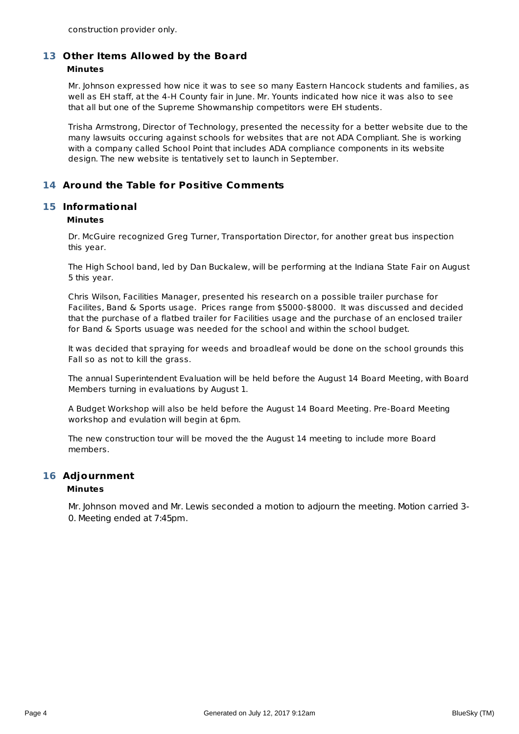construction provider only.

### **Other Items Allowed by the Board 13 Minutes**

Mr. Johnson expressed how nice it was to see so many Eastern Hancock students and families, as well as EH staff, at the 4-H County fair in June. Mr. Younts indicated how nice it was also to see that all but one of the Supreme Showmanship competitors were EH students.

Trisha Armstrong, Director of Technology, presented the necessity for a better website due to the many lawsuits occuring against schools for websites that are not ADA Compliant. She is working with a company called School Point that includes ADA compliance components in its website design. The new website is tentatively set to launch in September.

## **14 Around the Table for Positive Comments**

### **Informational 15**

### **Minutes**

Dr. McGuire recognized Greg Turner, Transportation Director, for another great bus inspection this year.

The High School band, led by Dan Buckalew, will be performing at the Indiana State Fair on August 5 this year.

Chris Wilson, Facilities Manager, presented his research on a possible trailer purchase for Facilites, Band & Sports usage. Prices range from \$5000-\$8000. It was discussed and decided that the purchase of a flatbed trailer for Facilities usage and the purchase of an enclosed trailer for Band & Sports usuage was needed for the school and within the school budget.

It was decided that spraying for weeds and broadleaf would be done on the school grounds this Fall so as not to kill the grass.

The annual Superintendent Evaluation will be held before the August 14 Board Meeting, with Board Members turning in evaluations by August 1.

A Budget Workshop will also be held before the August 14 Board Meeting. Pre-Board Meeting workshop and evulation will begin at 6pm.

The new construction tour will be moved the the August 14 meeting to include more Board members.

### **Adjournment 16**

### **Minutes**

Mr. Johnson moved and Mr. Lewis seconded a motion to adjourn the meeting. Motion carried 3- 0. Meeting ended at 7:45pm.